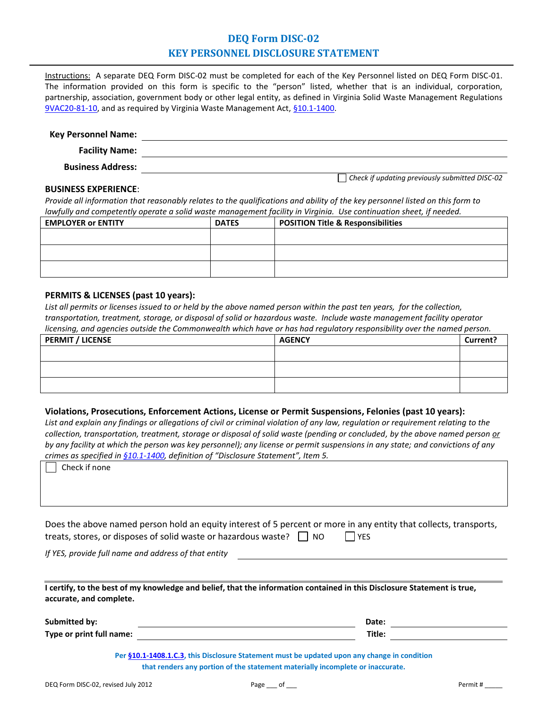## **DEQ Form DISC-02 KEY PERSONNEL DISCLOSURE STATEMENT**

Instructions: A separate DEQ Form DISC-02 must be completed for each of the Key Personnel listed on DEQ Form DISC-01. The information provided on this form is specific to the "person" listed, whether that is an individual, corporation, partnership, association, government body or other legal entity, as defined in Virginia Solid Waste Management Regulations [9VAC20-81-10,](http://lis.virginia.gov/000/reg/TOC09020.HTM) and as required by Virginia Waste Management Act[, §10.1-1400.](http://lis.virginia.gov/cgi-bin/legp604.exe?000+cod+10.1-1400)

#### **Key Personnel Name: Facility Name:**

*Check if updating previously submitted DISC-02*

**Business Address:**

#### **BUSINESS EXPERIENCE**:

*Provide all information that reasonably relates to the qualifications and ability of the key personnel listed on this form to lawfully and competently operate a solid waste management facility in Virginia. Use continuation sheet, if needed.*

| <b>EMPLOYER or ENTITY</b> | <b>DATES</b> | <b>POSITION Title &amp; Responsibilities</b> |
|---------------------------|--------------|----------------------------------------------|
|                           |              |                                              |
|                           |              |                                              |
|                           |              |                                              |
|                           |              |                                              |
|                           |              |                                              |

### **PERMITS & LICENSES (past 10 years):**

*List all permits or licenses issued to or held by the above named person within the past ten years, for the collection, transportation, treatment, storage, or disposal of solid or hazardous waste. Include waste management facility operator licensing, and agencies outside the Commonwealth which have or has had regulatory responsibility over the named person.*

| <b>PERMIT / LICENSE</b> | <b>AGENCY</b> | Current? |
|-------------------------|---------------|----------|
|                         |               |          |
|                         |               |          |
|                         |               |          |
|                         |               |          |

### **Violations, Prosecutions, Enforcement Actions, License or Permit Suspensions, Felonies (past 10 years):**

*List and explain any findings or allegations of civil or criminal violation of any law, regulation or requirement relating to the collection, transportation, treatment, storage or disposal of solid waste (pending or concluded, by the above named person or by any facility at which the person was key personnel); any license or permit suspensions in any state; and convictions of any crimes as specified in [§10.1-1400](http://lis.virginia.gov/cgi-bin/legp604.exe?000+cod+10.1-1400), definition of "Disclosure Statement", Item 5.* 

|                                                                                                                         | crimes as specified in §10.1-1400, definition of "Disclosure Statement", Item 5.                                                                                               |
|-------------------------------------------------------------------------------------------------------------------------|--------------------------------------------------------------------------------------------------------------------------------------------------------------------------------|
| Check if none                                                                                                           |                                                                                                                                                                                |
|                                                                                                                         |                                                                                                                                                                                |
|                                                                                                                         |                                                                                                                                                                                |
|                                                                                                                         |                                                                                                                                                                                |
|                                                                                                                         |                                                                                                                                                                                |
|                                                                                                                         |                                                                                                                                                                                |
|                                                                                                                         | Does the above named person hold an equity interest of 5 percent or more in any entity that collects, transports,                                                              |
| treats, stores, or disposes of solid waste or hazardous waste? $\Box$ NO                                                | <b>YES</b>                                                                                                                                                                     |
| If YES, provide full name and address of that entity                                                                    |                                                                                                                                                                                |
|                                                                                                                         |                                                                                                                                                                                |
|                                                                                                                         |                                                                                                                                                                                |
| I certify, to the best of my knowledge and belief, that the information contained in this Disclosure Statement is true, |                                                                                                                                                                                |
| accurate, and complete.                                                                                                 |                                                                                                                                                                                |
|                                                                                                                         |                                                                                                                                                                                |
|                                                                                                                         | Date:                                                                                                                                                                          |
|                                                                                                                         |                                                                                                                                                                                |
| Submitted by:                                                                                                           |                                                                                                                                                                                |
| Type or print full name:                                                                                                | Title:                                                                                                                                                                         |
|                                                                                                                         |                                                                                                                                                                                |
|                                                                                                                         | Per §10.1-1408.1.C.3, this Disclosure Statement must be updated upon any change in condition<br>that renders any portion of the statement materially incomplete or inaccurate. |